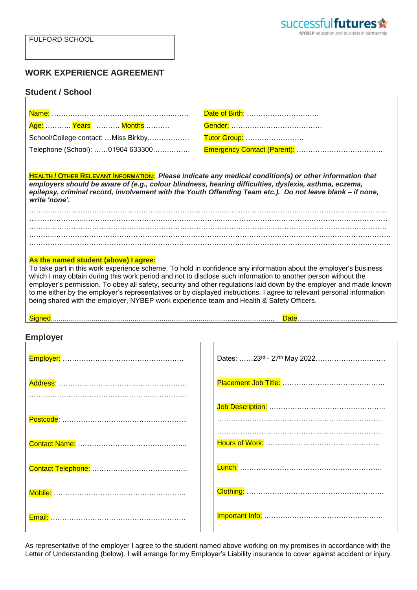## **WORK EXPERIENCE AGREEMENT**

## **Student / School**

|                                                                                                                                                                                                                                                                                                                                                                                                                                                                                                                                                                                                                       | Date of Birth:              |  |  |
|-----------------------------------------------------------------------------------------------------------------------------------------------------------------------------------------------------------------------------------------------------------------------------------------------------------------------------------------------------------------------------------------------------------------------------------------------------------------------------------------------------------------------------------------------------------------------------------------------------------------------|-----------------------------|--|--|
| Age:  Years  Months                                                                                                                                                                                                                                                                                                                                                                                                                                                                                                                                                                                                   |                             |  |  |
| School/College contact:  Miss Birkby                                                                                                                                                                                                                                                                                                                                                                                                                                                                                                                                                                                  | Tutor Group:                |  |  |
| Telephone (School): 01904 633300                                                                                                                                                                                                                                                                                                                                                                                                                                                                                                                                                                                      |                             |  |  |
|                                                                                                                                                                                                                                                                                                                                                                                                                                                                                                                                                                                                                       |                             |  |  |
| HEALTH / OTHER RELEVANT INFORMATION: Please indicate any medical condition(s) or other information that<br>employers should be aware of (e.g., colour blindness, hearing difficulties, dyslexia, asthma, eczema,<br>epilepsy, criminal record, involvement with the Youth Offending Team etc.). Do not leave blank - if none,<br>write 'none'.                                                                                                                                                                                                                                                                        |                             |  |  |
|                                                                                                                                                                                                                                                                                                                                                                                                                                                                                                                                                                                                                       |                             |  |  |
|                                                                                                                                                                                                                                                                                                                                                                                                                                                                                                                                                                                                                       |                             |  |  |
|                                                                                                                                                                                                                                                                                                                                                                                                                                                                                                                                                                                                                       |                             |  |  |
|                                                                                                                                                                                                                                                                                                                                                                                                                                                                                                                                                                                                                       |                             |  |  |
|                                                                                                                                                                                                                                                                                                                                                                                                                                                                                                                                                                                                                       |                             |  |  |
| As the named student (above) I agree:<br>To take part in this work experience scheme. To hold in confidence any information about the employer's business<br>which I may obtain during this work period and not to disclose such information to another person without the<br>employer's permission. To obey all safety, security and other regulations laid down by the employer and made known<br>to me either by the employer's representatives or by displayed instructions. I agree to relevant personal information<br>being shared with the employer, NYBEP work experience team and Health & Safety Officers. |                             |  |  |
|                                                                                                                                                                                                                                                                                                                                                                                                                                                                                                                                                                                                                       |                             |  |  |
| <b>Employer</b>                                                                                                                                                                                                                                                                                                                                                                                                                                                                                                                                                                                                       |                             |  |  |
|                                                                                                                                                                                                                                                                                                                                                                                                                                                                                                                                                                                                                       |                             |  |  |
|                                                                                                                                                                                                                                                                                                                                                                                                                                                                                                                                                                                                                       | Dates: 23rd - 27th May 2022 |  |  |
|                                                                                                                                                                                                                                                                                                                                                                                                                                                                                                                                                                                                                       |                             |  |  |
|                                                                                                                                                                                                                                                                                                                                                                                                                                                                                                                                                                                                                       |                             |  |  |
|                                                                                                                                                                                                                                                                                                                                                                                                                                                                                                                                                                                                                       |                             |  |  |

As representative of the employer I agree to the student named above working on my premises in accordance with the Letter of Understanding (below). I will arrange for my Employer's Liability insurance to cover against accident or injury



٦